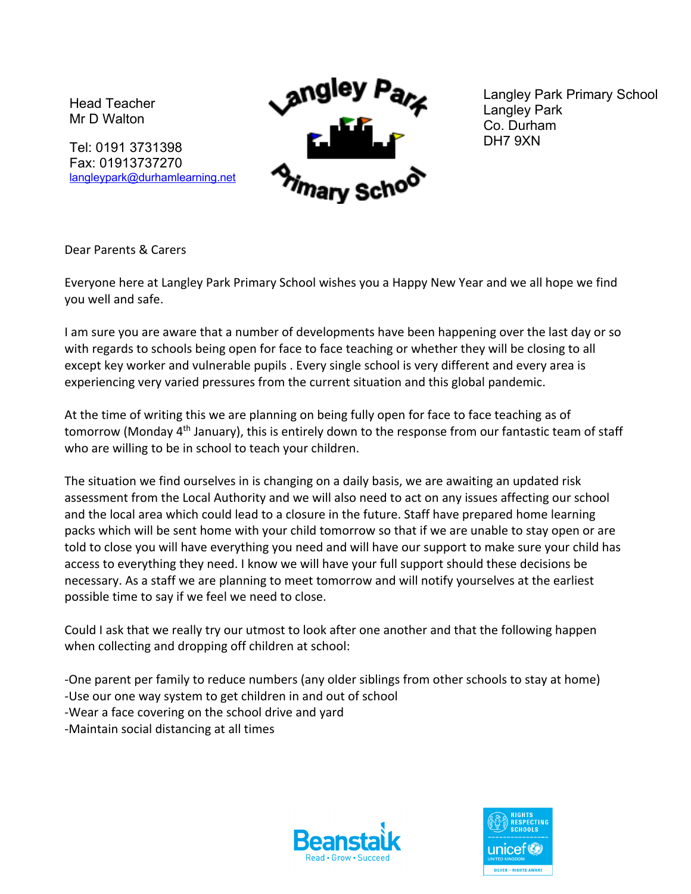Head Teacher Mr D Walton

Tel: 0191 3731398 Fax: 01913737270 langleypark@durhamlearning.net



Langley Park Primary School Langley Park Co. Durham DH7 9XN

Dear Parents & Carers

Everyone here at Langley Park Primary School wishes you a Happy New Year and we all hope we find you well and safe.

I am sure you are aware that a number of developments have been happening over the last day or so with regards to schools being open for face to face teaching or whether they will be closing to all except key worker and vulnerable pupils . Every single school is very different and every area is experiencing very varied pressures from the current situation and this global pandemic.

At the time of writing this we are planning on being fully open for face to face teaching as of tomorrow (Monday 4<sup>th</sup> January), this is entirely down to the response from our fantastic team of staff who are willing to be in school to teach your children.

The situation we find ourselves in is changing on a daily basis, we are awaiting an updated risk assessment from the Local Authority and we will also need to act on any issues affecting our school and the local area which could lead to a closure in the future. Staff have prepared home learning packs which will be sent home with your child tomorrow so that if we are unable to stay open or are told to close you will have everything you need and will have our support to make sure your child has access to everything they need. I know we will have your full support should these decisions be necessary. As a staff we are planning to meet tomorrow and will notify yourselves at the earliest possible time to say if we feel we need to close.

Could I ask that we really try our utmost to look after one another and that the following happen when collecting and dropping off children at school:

-One parent per family to reduce numbers (any older siblings from other schools to stay at home) -Use our one way system to get children in and out of school

-Wear a face covering on the school drive and yard

-Maintain social distancing at all times